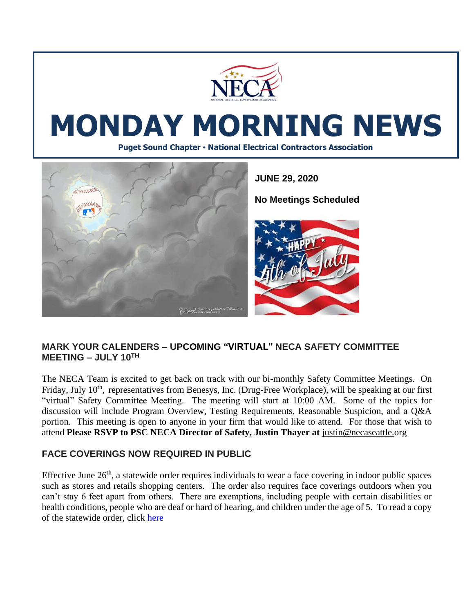

# **MONDAY MORNING NEWS**

**Puget Sound Chapter • National Electrical Contractors Association**



#### **MARK YOUR CALENDERS – UPCOMING "VIRTUAL" NECA SAFETY COMMITTEE**  $MEETING - JULY 10<sup>TH</sup>$

The NECA Team is excited to get back on track with our bi-monthly Safety Committee Meetings. On Friday, July 10<sup>th</sup>, representatives from Benesys, Inc. (Drug-Free Workplace), will be speaking at our first "virtual" Safety Committee Meeting. The meeting will start at 10:00 AM. Some of the topics for discussion will include Program Overview, Testing Requirements, Reasonable Suspicion, and a Q&A portion. This meeting is open to anyone in your firm that would like to attend. For those that wish to attend **Please RSVP to PSC NECA Director of Safety, Justin Thayer at** [justin@necaseattle.org](mailto:justin@necaseattle.org)

### **FACE COVERINGS NOW REQUIRED IN PUBLIC**

Effective June  $26<sup>th</sup>$ , a statewide order requires individuals to wear a face covering in indoor public spaces such as stores and retails shopping centers. The order also requires face coverings outdoors when you can't stay 6 feet apart from others. There are exemptions, including people with certain disabilities or health conditions, people who are deaf or hard of hearing, and children under the age of 5. To read a copy of the statewide order, click [here](https://www.doh.wa.gov/Portals/1/Documents/1600/coronavirus/Secretary_of_Health_Order_20-03_Statewide_Face_Coverings.pdf)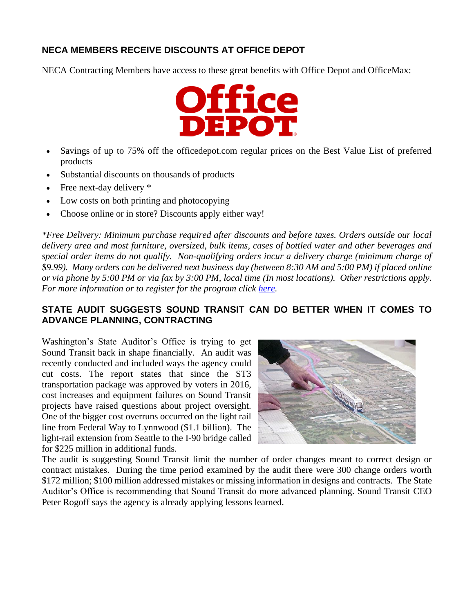### **NECA MEMBERS RECEIVE DISCOUNTS AT OFFICE DEPOT**

NECA Contracting Members have access to these great benefits with Office Depot and OfficeMax:



- Savings of up to 75% off the officedepot.com regular prices on the Best Value List of preferred products
- Substantial discounts on thousands of products
- Free next-day delivery  $*$
- Low costs on both printing and photocopying
- Choose online or in store? Discounts apply either way!

*\*Free Delivery: Minimum purchase required after discounts and before taxes. Orders outside our local delivery area and most furniture, oversized, bulk items, cases of bottled water and other beverages and special order items do not qualify. Non-qualifying orders incur a delivery charge (minimum charge of \$9.99). Many orders can be delivered next business day (between 8:30 AM and 5:00 PM) if placed online or via phone by 5:00 PM or via fax by 3:00 PM, local time (In most locations). Other restrictions apply. For more information or to register for the program click [here.](https://community.officedepot.com/GPOHome?id=86127285)*

### **STATE AUDIT SUGGESTS SOUND TRANSIT CAN DO BETTER WHEN IT COMES TO ADVANCE PLANNING, CONTRACTING**

Washington's State Auditor's Office is trying to get Sound Transit back in shape financially. An audit was recently conducted and included ways the agency could cut costs. The report states that since the ST3 transportation package was approved by voters in 2016, cost increases and equipment failures on Sound Transit projects have raised questions about project oversight. One of the bigger cost overruns occurred on the light rail line from Federal Way to Lynnwood (\$1.1 billion). The light-rail extension from Seattle to the I-90 bridge called for \$225 million in additional funds.



The audit is suggesting Sound Transit limit the number of order changes meant to correct design or contract mistakes. During the time period examined by the audit there were 300 change orders worth \$172 million; \$100 million addressed mistakes or missing information in designs and contracts. The State Auditor's Office is recommending that Sound Transit do more advanced planning. Sound Transit CEO Peter Rogoff says the agency is already applying lessons learned.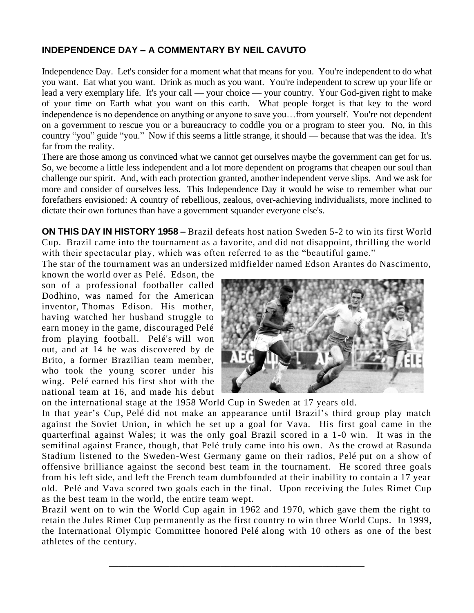## **INDEPENDENCE DAY – A COMMENTARY BY NEIL CAVUTO**

Independence Day. Let's consider for a moment what that means for you. You're independent to do what you want. Eat what you want. Drink as much as you want. You're independent to screw up your life or lead a very exemplary life. It's your call — your choice — your country. Your God-given right to make of your time on Earth what you want on this earth. What people forget is that key to the word independence is no dependence on anything or anyone to save you…from yourself. You're not dependent on a government to rescue you or a bureaucracy to coddle you or a program to steer you. No, in this country "you" guide "you." Now if this seems a little strange, it should — because that was the idea. It's far from the reality.

There are those among us convinced what we cannot get ourselves maybe the government can get for us. So, we become a little less independent and a lot more dependent on programs that cheapen our soul than challenge our spirit. And, with each protection granted, another independent verve slips. And we ask for more and consider of ourselves less. This Independence Day it would be wise to remember what our forefathers envisioned: A country of rebellious, zealous, over-achieving individualists, more inclined to dictate their own fortunes than have a government squander everyone else's.

**ON THIS DAY IN HISTORY 1958 –** Brazil defeats host nation Sweden 5-2 to win its first World Cup. Brazil came into the tournament as a favorite, and did not disappoint, thrilling the world with their spectacular play, which was often referred to as the "beautiful game."

The star of the tournament was an undersized midfielder named Edson Arantes do Nascimento,

known the world over as [Pelé.](https://www.biography.com/athlete/pele) Edson, the son of a professional footballer called Dodhino, was named for the American inventor, [Thomas Edison.](https://www.history.com/topics/inventions/thomas-edison) His mother, having watched her husband struggle to earn money in the game, discouraged Pelé from playing football. Pelé's will won out, and at 14 he was discovered by de Brito, a former Brazilian team member, who took the young scorer under his wing. Pelé earned his first shot with the national team at 16, and made his debut



on the international stage at the 1958 World Cup in Sweden at 17 years old.

In that year's Cup, Pelé did not make an appearance until Brazil's third group play match against the [Soviet Union,](https://www.history.com/topics/history-of-the-soviet-union) in which he set up a goal for Vava. His first goal came in the quarterfinal against Wales; it was the only goal Brazil scored in a 1-0 win. It was in the semifinal against France, though, that Pelé truly came into his own. As the crowd at Rasunda Stadium listened to the Sweden-West Germany game on their radios, Pelé put on a show of offensive brilliance against the second best team in the tournament. He scored three goals from his left side, and left the French team dumbfounded at their inability to contain a 17 year old. Pelé and Vava scored two goals each in the final. Upon receiving the Jules Rimet Cup as the best team in the world, the entire team wept.

Brazil went on to win the World Cup again in 1962 and 1970, which gave them the right to retain the Jules Rimet Cup permanently as the first country to win three World Cups. In 1999, the International Olympic Committee honored Pelé along with 10 others as one of the best athletes of the century.

\_\_\_\_\_\_\_\_\_\_\_\_\_\_\_\_\_\_\_\_\_\_\_\_\_\_\_\_\_\_\_\_\_\_\_\_\_\_\_\_\_\_\_\_\_\_\_\_\_\_\_\_\_\_\_